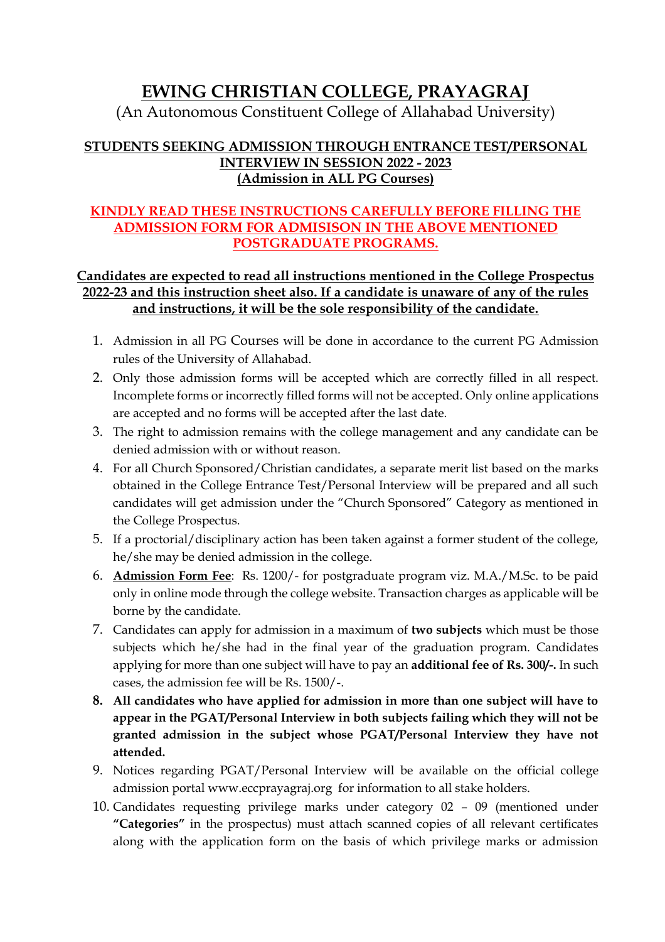## **EWING CHRISTIAN COLLEGE, PRAYAGRAJ**

(An Autonomous Constituent College of Allahabad University)

## **STUDENTS SEEKING ADMISSION THROUGH ENTRANCE TEST/PERSONAL INTERVIEW IN SESSION 2022 - 2023 (Admission in ALL PG Courses)**

## **KINDLY READ THESE INSTRUCTIONS CAREFULLY BEFORE FILLING THE ADMISSION FORM FOR ADMISISON IN THE ABOVE MENTIONED POSTGRADUATE PROGRAMS.**

## **Candidates are expected to read all instructions mentioned in the College Prospectus 2022-23 and this instruction sheet also. If a candidate is unaware of any of the rules and instructions, it will be the sole responsibility of the candidate.**

- 1. Admission in all PG Courses will be done in accordance to the current PG Admission rules of the University of Allahabad.
- 2. Only those admission forms will be accepted which are correctly filled in all respect. Incomplete forms or incorrectly filled forms will not be accepted. Only online applications are accepted and no forms will be accepted after the last date.
- 3. The right to admission remains with the college management and any candidate can be denied admission with or without reason.
- 4. For all Church Sponsored/Christian candidates, a separate merit list based on the marks obtained in the College Entrance Test/Personal Interview will be prepared and all such candidates will get admission under the "Church Sponsored" Category as mentioned in the College Prospectus.
- 5. If a proctorial/disciplinary action has been taken against a former student of the college, he/she may be denied admission in the college.
- 6. **Admission Form Fee**: Rs. 1200/- for postgraduate program viz. M.A./M.Sc. to be paid only in online mode through the college website. Transaction charges as applicable will be borne by the candidate.
- 7. Candidates can apply for admission in a maximum of **two subjects** which must be those subjects which he/she had in the final year of the graduation program. Candidates applying for more than one subject will have to pay an **additional fee of Rs. 300/-.** In such cases, the admission fee will be Rs. 1500/-.
- **8. All candidates who have applied for admission in more than one subject will have to appear in the PGAT/Personal Interview in both subjects failing which they will not be granted admission in the subject whose PGAT/Personal Interview they have not attended.**
- 9. Notices regarding PGAT/Personal Interview will be available on the official college admission portal www.eccprayagraj.org for information to all stake holders.
- 10. Candidates requesting privilege marks under category 02 09 (mentioned under **"Categories"** in the prospectus) must attach scanned copies of all relevant certificates along with the application form on the basis of which privilege marks or admission